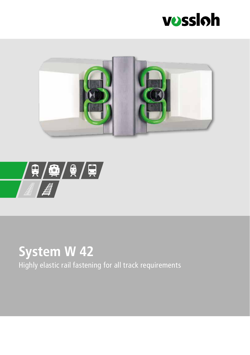





## **System W 42**

Highly elastic rail fastening for all track requirements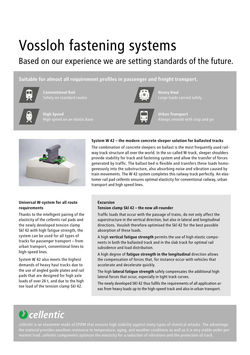# Vossloh fastening systems

### Based on our experience we are setting standards of the future.

### **Suitable for almost all requirement profiles in passenger and freight transport.**



**Conventional Rail**



**Heavy Haul** 



**Urban Transport** 



**High Speed** 

### **Universal W-system for all route requirements**

Thanks to the intelligent pairing of the elasticity of the *cellentic* rail pads and the newly developed tension clamp Skl 42 with high fatigue strength, the system can be used for all types of tracks for passenger transport – from urban transport, conventional lines to high-speed lines.

System W 42 also meets the highest demands of heavy haul tracks due to the use of angled guide plates and rail pads that are designed for high axle loads of over 26 t, and due to the high toe load of the tension clamp Skl 42.

### **System W 42 – the modern concrete sleeper solution for ballasted tracks**

The combination of concrete sleepers on ballast is the most frequently used railway track structure all over the world. In the so-called W-track, sleeper shoulders provide stability for track and fastening system and allow the transfer of forces generated by traffic. The ballast bed is flexible and transfers these loads homogeneously into the substructure, also absorbing noise and vibration caused by train movements. The W 42 system completes this railway track perfectly. An elastomer rail pad *cellentic* ensures optimal elasticity for conventional railway, urban transport and high speed lines.

### **Excursion**

### **Tension clamp Skl 42 – the new all-rounder**

Traffic loads that occur with the passage of trains, do not only affect the superstructure in the vertical direction, but also in lateral and longitudinal directions. Vossloh therefore optimised the Skl 42 for the best possible absorption of these loads.

A high **vertical fatigue strength** permits the use of high elastic components in both the ballasted track and in the slab track for optimal rail subsidence and load distribution.

A high degree of **fatigue strength in the longitudinal** direction allows the compensation of forces that, for instance occur with vehicles that accelerate and decelerate quickly.

The high **lateral fatigue strength** safely compensates the additional high lateral forces that occur, especially in tight track curves.

The newly developed SKl 42 thus fulfils the requirements of all application areas from heavy loads up to the high-speed track and also in urban transport.

### **D** cellentic

*cellentic* is an elastomer made of EPDM that ensures high stability against many types of chemical attacks. The advantage: the material provides excellent resistance to temperature, aging, and weather conditions as well as it is very stable under per-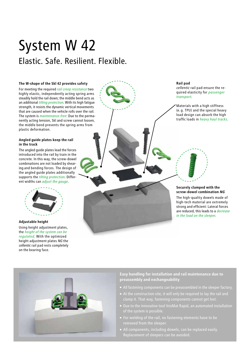### System W 42 Elastic. Safe. Resilient. Flexible.

#### **The W-shape of the Skl 42 provides safety**

For meeting the required *rail creep resistance* two highly elastic, independently acting spring arms steadily hold the rail down; the middle bend acts as an additional *tilting protection*. With its high fatigue strength, it resists the dynamic vertical movements that are caused when the vehicle rolls over the rail. The system is *maintenance-free*: Due to the permanently acting tension, Skl and screw cannot loosen, the middle bend prevents the spring arms from plastic deformation.

### **Angled guide plates keep the rail in the track**

The angled guide plates lead the forces introduced into the rail by train in the concrete. In this way, the screw-dowel combinations are not loaded by shearing and bending forces. The design of the angled guide plates additionally supports the *tilting protection*. Different widths can *adjust the gauge.*



**Adjustable height** Using height adjustment plates, the *height of the system can be regulated.* With the optimized height adjustment plates *NG* the *cellentic* rail pad rests completely on the bearing face.



*cellentic* rail pad ensure the required elasticity for *passenger* 

traffic loads in *heavy haul tracks.*

**Rail pad**

### **Securely clamped with the screw-dowel combination** *NG*

The high-quality dowels made of high-tech material are extremely strong and efficient: Lateral forces are reduced, this leads to a *decrease in the load on the sleeper.*



**Easy handling for installation and rail maintenance due to preassembly and exchangeability**

- All fastening components can be preassembled in the sleeper factory.
- clamp it. That way, fastening components cannot get lost.
- of the system is possible.
- removed from the sleeper.
- Replacement of sleepers can be avoided.